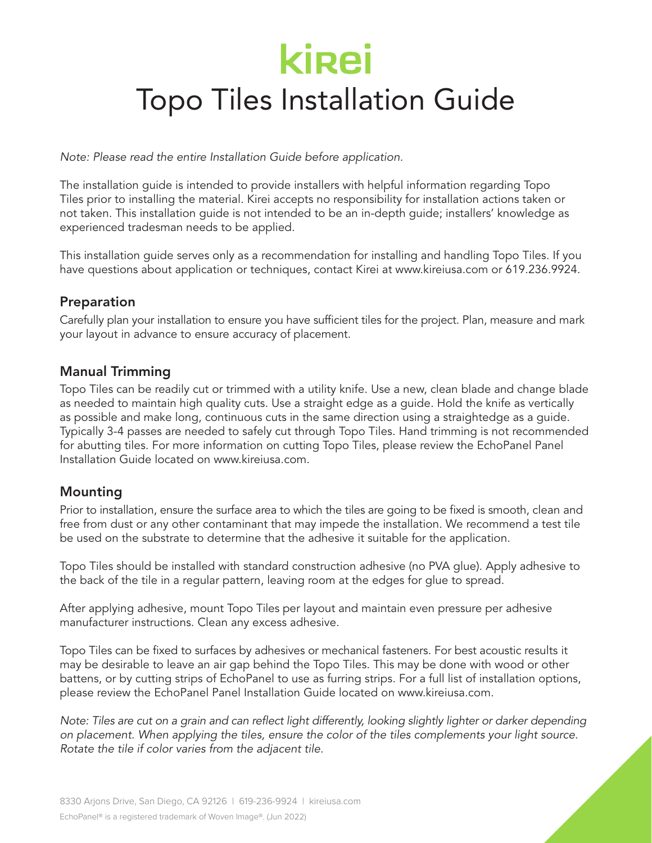# **kirei**

## Topo Tiles Installation Guide

*Note: Please read the entire Installation Guide before application.*

The installation guide is intended to provide installers with helpful information regarding Topo Tiles prior to installing the material. Kirei accepts no responsibility for installation actions taken or not taken. This installation guide is not intended to be an in-depth guide; installers' knowledge as experienced tradesman needs to be applied.

This installation guide serves only as a recommendation for installing and handling Topo Tiles. If you have questions about application or techniques, contact Kirei at www.kireiusa.com or 619.236.9924.

#### Preparation

Carefully plan your installation to ensure you have sufficient tiles for the project. Plan, measure and mark your layout in advance to ensure accuracy of placement.

#### Manual Trimming

Topo Tiles can be readily cut or trimmed with a utility knife. Use a new, clean blade and change blade as needed to maintain high quality cuts. Use a straight edge as a guide. Hold the knife as vertically as possible and make long, continuous cuts in the same direction using a straightedge as a guide. Typically 3-4 passes are needed to safely cut through Topo Tiles. Hand trimming is not recommended for abutting tiles. For more information on cutting Topo Tiles, please review the EchoPanel Panel Installation Guide located on www.kireiusa.com.

#### Mounting

Prior to installation, ensure the surface area to which the tiles are going to be fixed is smooth, clean and free from dust or any other contaminant that may impede the installation. We recommend a test tile be used on the substrate to determine that the adhesive it suitable for the application.

Topo Tiles should be installed with standard construction adhesive (no PVA glue). Apply adhesive to the back of the tile in a regular pattern, leaving room at the edges for glue to spread.

After applying adhesive, mount Topo Tiles per layout and maintain even pressure per adhesive manufacturer instructions. Clean any excess adhesive.

Topo Tiles can be fixed to surfaces by adhesives or mechanical fasteners. For best acoustic results it may be desirable to leave an air gap behind the Topo Tiles. This may be done with wood or other battens, or by cutting strips of EchoPanel to use as furring strips. For a full list of installation options, please review the EchoPanel Panel Installation Guide located on www.kireiusa.com.

*Note: Tiles are cut on a grain and can reflect light differently, looking slightly lighter or darker depending on placement. When applying the tiles, ensure the color of the tiles complements your light source. Rotate the tile if color varies from the adjacent tile.*